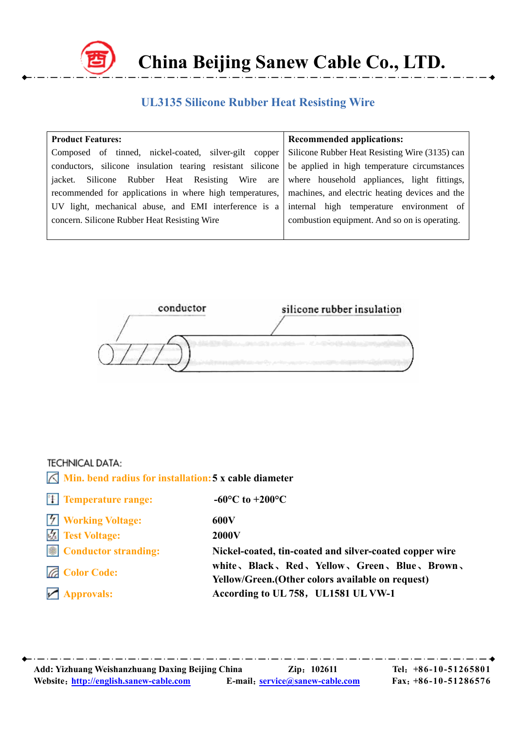

 **China Beijing Sanew Cable Co., LTD.**

## **UL3135 Silicone Rubber Heat Resisting Wire**

| <b>Product Features:</b>                                                                                | <b>Recommended applications:</b>              |  |  |  |
|---------------------------------------------------------------------------------------------------------|-----------------------------------------------|--|--|--|
| Composed of tinned, nickel-coated, silver-gilt copper Silicone Rubber Heat Resisting Wire (3135) can    |                                               |  |  |  |
| conductors, silicone insulation tearing resistant silicone                                              | be applied in high temperature circumstances  |  |  |  |
| jacket. Silicone Rubber Heat Resisting Wire are where household appliances, light fittings,             |                                               |  |  |  |
| recommended for applications in where high temperatures, machines, and electric heating devices and the |                                               |  |  |  |
| UV light, mechanical abuse, and EMI interference is a                                                   | internal high temperature environment of      |  |  |  |
| concern. Silicone Rubber Heat Resisting Wire                                                            | combustion equipment. And so on is operating. |  |  |  |
|                                                                                                         |                                               |  |  |  |



## **TECHNICAL DATA:**

| $\sqrt{\phantom{a}}$ Min. bend radius for installation: 5 x cable diameter |                                                                                                     |
|----------------------------------------------------------------------------|-----------------------------------------------------------------------------------------------------|
| $\left\  \cdot \right\ $ Temperature range:                                | -60 $^{\circ}$ C to +200 $^{\circ}$ C                                                               |
| <b>7</b> Working Voltage:                                                  | 600V                                                                                                |
| <b>12</b> Test Voltage:                                                    | <b>2000V</b>                                                                                        |
| $\left \mathsf{F}\right $ Conductor stranding:                             | Nickel-coated, tin-coated and silver-coated copper wire                                             |
| <b>Z</b> Color Code:                                                       | white, Black, Red, Yellow, Green, Blue, Brown,<br>Yellow/Green. (Other colors available on request) |
| $\sqrt{\phantom{a}}$ Approvals:                                            | According to UL 758, UL1581 UL VW-1                                                                 |